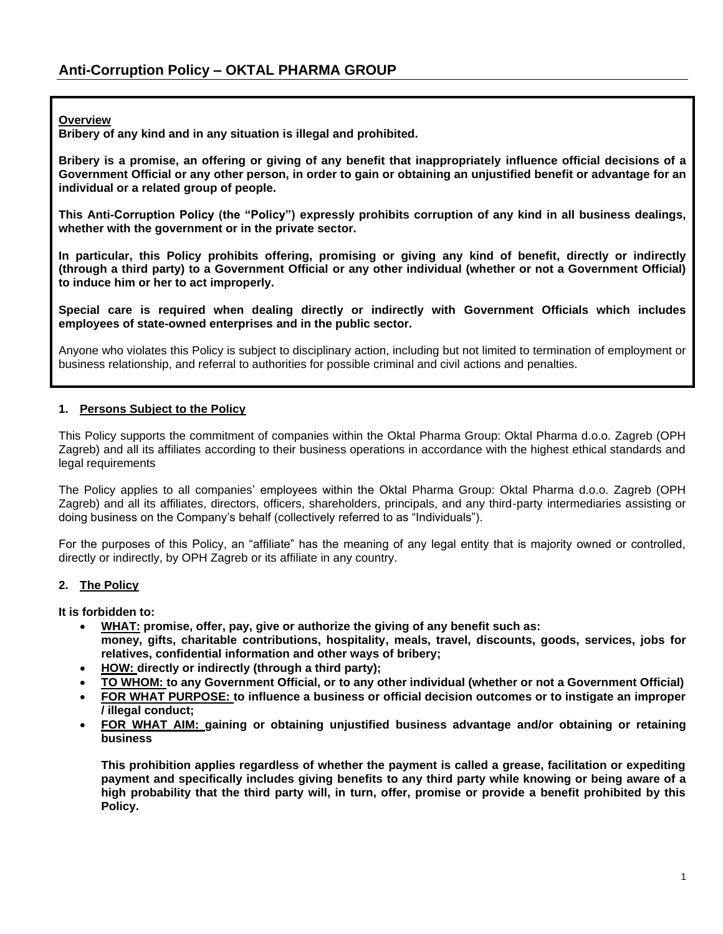**Overview**

**Bribery of any kind and in any situation is illegal and prohibited.** 

**Bribery is a promise, an offering or giving of any benefit that inappropriately influence official decisions of a Government Official or any other person, in order to gain or obtaining an unjustified benefit or advantage for an individual or a related group of people.**

**This Anti-Corruption Policy (the "Policy") expressly prohibits corruption of any kind in all business dealings, whether with the government or in the private sector.** 

**In particular, this Policy prohibits offering, promising or giving any kind of benefit, directly or indirectly (through a third party) to a Government Official or any other individual (whether or not a Government Official) to induce him or her to act improperly.** 

**Special care is required when dealing directly or indirectly with Government Officials which includes employees of state-owned enterprises and in the public sector.** 

Anyone who violates this Policy is subject to disciplinary action, including but not limited to termination of employment or business relationship, and referral to authorities for possible criminal and civil actions and penalties.

## **1. Persons Subject to the Policy**

This Policy supports the commitment of companies within the Oktal Pharma Group: Oktal Pharma d.o.o. Zagreb (OPH Zagreb) and all its affiliates according to their business operations in accordance with the highest ethical standards and legal requirements

The Policy applies to all companies' employees within the Oktal Pharma Group: Oktal Pharma d.o.o. Zagreb (OPH Zagreb) and all its affiliates, directors, officers, shareholders, principals, and any third-party intermediaries assisting or doing business on the Company's behalf (collectively referred to as "Individuals").

For the purposes of this Policy, an "affiliate" has the meaning of any legal entity that is majority owned or controlled, directly or indirectly, by OPH Zagreb or its affiliate in any country.

#### **2. The Policy**

**It is forbidden to:**

- **WHAT: promise, offer, pay, give or authorize the giving of any benefit such as: money, gifts, charitable contributions, hospitality, meals, travel, discounts, goods, services, jobs for relatives, confidential information and other ways of bribery;**
- **HOW: directly or indirectly (through a third party);**
- **TO WHOM: to any Government Official, or to any other individual (whether or not a Government Official)**
- **FOR WHAT PURPOSE: to influence a business or official decision outcomes or to instigate an improper / illegal conduct;**
- **FOR WHAT AIM: gaining or obtaining unjustified business advantage and/or obtaining or retaining business**

**This prohibition applies regardless of whether the payment is called a grease, facilitation or expediting payment and specifically includes giving benefits to any third party while knowing or being aware of a high probability that the third party will, in turn, offer, promise or provide a benefit prohibited by this Policy.**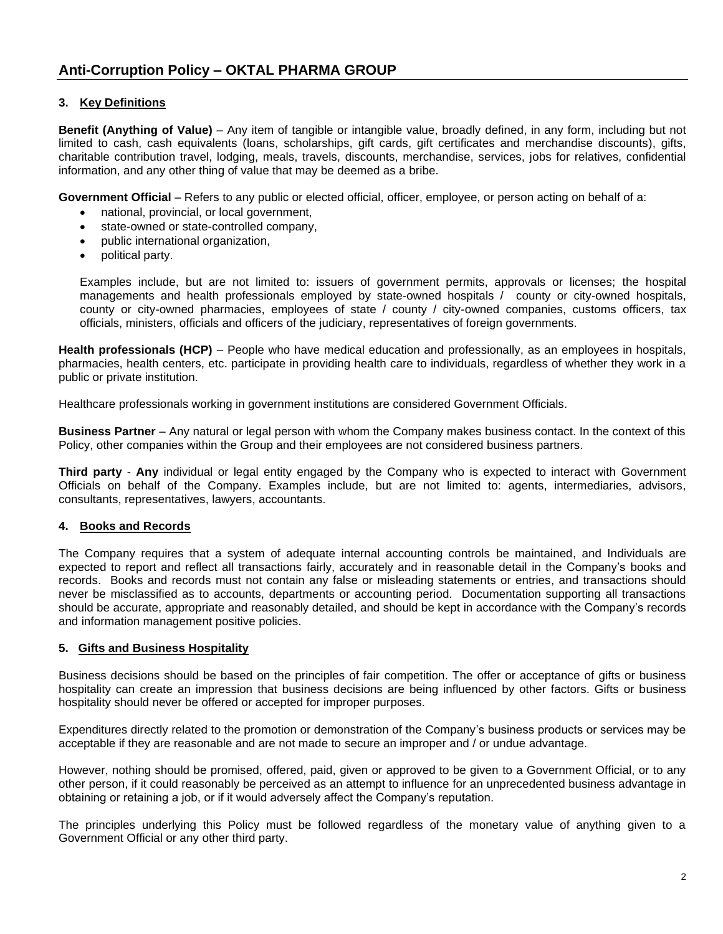# **3. Key Definitions**

**Benefit (Anything of Value)** – Any item of tangible or intangible value, broadly defined, in any form, including but not limited to cash, cash equivalents (loans, scholarships, gift cards, gift certificates and merchandise discounts), gifts, charitable contribution travel, lodging, meals, travels, discounts, merchandise, services, jobs for relatives, confidential information, and any other thing of value that may be deemed as a bribe.

**Government Official** – Refers to any public or elected official, officer, employee, or person acting on behalf of a:

- national, provincial, or local government,
- state-owned or state-controlled company,
- public international organization,
- political party.

Examples include, but are not limited to: issuers of government permits, approvals or licenses; the hospital managements and health professionals employed by state-owned hospitals / county or city-owned hospitals, county or city-owned pharmacies, employees of state / county / city-owned companies, customs officers, tax officials, ministers, officials and officers of the judiciary, representatives of foreign governments.

**Health professionals (HCP)** – People who have medical education and professionally, as an employees in hospitals, pharmacies, health centers, etc. participate in providing health care to individuals, regardless of whether they work in a public or private institution.

Healthcare professionals working in government institutions are considered Government Officials.

**Business Partner** – Any natural or legal person with whom the Company makes business contact. In the context of this Policy, other companies within the Group and their employees are not considered business partners.

**Third party** - **Any** individual or legal entity engaged by the Company who is expected to interact with Government Officials on behalf of the Company. Examples include, but are not limited to: agents, intermediaries, advisors, consultants, representatives, lawyers, accountants.

# **4. Books and Records**

The Company requires that a system of adequate internal accounting controls be maintained, and Individuals are expected to report and reflect all transactions fairly, accurately and in reasonable detail in the Company's books and records. Books and records must not contain any false or misleading statements or entries, and transactions should never be misclassified as to accounts, departments or accounting period. Documentation supporting all transactions should be accurate, appropriate and reasonably detailed, and should be kept in accordance with the Company's records and information management positive policies.

#### **5. Gifts and Business Hospitality**

Business decisions should be based on the principles of fair competition. The offer or acceptance of gifts or business hospitality can create an impression that business decisions are being influenced by other factors. Gifts or business hospitality should never be offered or accepted for improper purposes.

Expenditures directly related to the promotion or demonstration of the Company's business products or services may be acceptable if they are reasonable and are not made to secure an improper and / or undue advantage.

However, nothing should be promised, offered, paid, given or approved to be given to a Government Official, or to any other person, if it could reasonably be perceived as an attempt to influence for an unprecedented business advantage in obtaining or retaining a job, or if it would adversely affect the Company's reputation.

The principles underlying this Policy must be followed regardless of the monetary value of anything given to a Government Official or any other third party.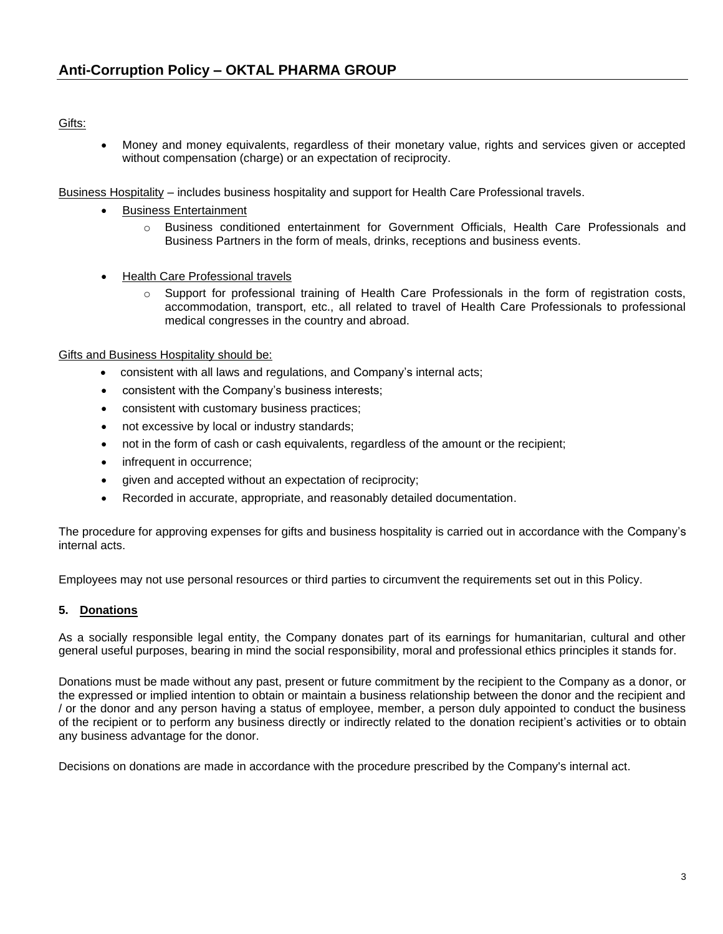# Gifts:

• Money and money equivalents, regardless of their monetary value, rights and services given or accepted without compensation (charge) or an expectation of reciprocity.

Business Hospitality – includes business hospitality and support for Health Care Professional travels.

- Business Entertainment
	- o Business conditioned entertainment for Government Officials, Health Care Professionals and Business Partners in the form of meals, drinks, receptions and business events.
- Health Care Professional travels
	- $\circ$  Support for professional training of Health Care Professionals in the form of registration costs, accommodation, transport, etc., all related to travel of Health Care Professionals to professional medical congresses in the country and abroad.

## Gifts and Business Hospitality should be:

- consistent with all laws and regulations, and Company's internal acts;
- consistent with the Company's business interests;
- consistent with customary business practices;
- not excessive by local or industry standards;
- not in the form of cash or cash equivalents, regardless of the amount or the recipient;
- infrequent in occurrence;
- given and accepted without an expectation of reciprocity;
- Recorded in accurate, appropriate, and reasonably detailed documentation.

The procedure for approving expenses for gifts and business hospitality is carried out in accordance with the Company's internal acts.

Employees may not use personal resources or third parties to circumvent the requirements set out in this Policy.

# **5. Donations**

As a socially responsible legal entity, the Company donates part of its earnings for humanitarian, cultural and other general useful purposes, bearing in mind the social responsibility, moral and professional ethics principles it stands for.

Donations must be made without any past, present or future commitment by the recipient to the Company as a donor, or the expressed or implied intention to obtain or maintain a business relationship between the donor and the recipient and / or the donor and any person having a status of employee, member, a person duly appointed to conduct the business of the recipient or to perform any business directly or indirectly related to the donation recipient's activities or to obtain any business advantage for the donor.

Decisions on donations are made in accordance with the procedure prescribed by the Company's internal act.